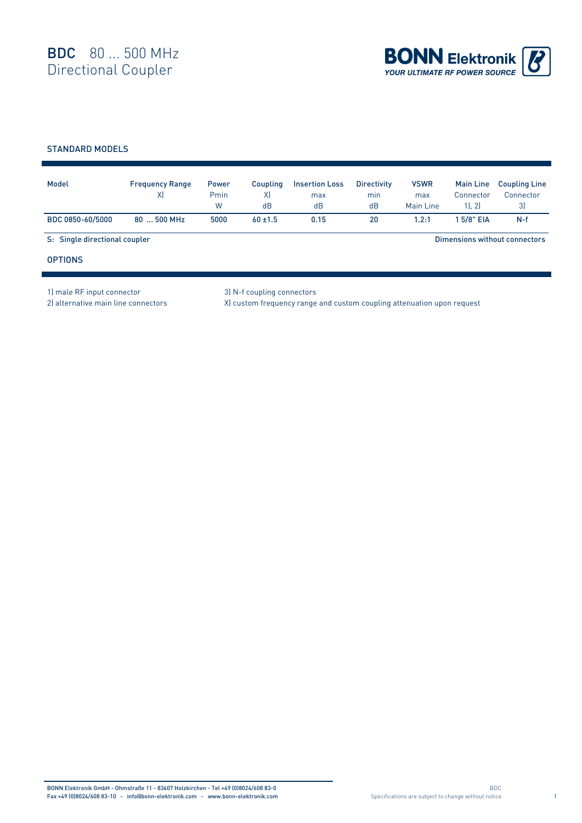

## STANDARD MODELS

| Model                         | <b>Frequency Range</b><br>X) | <b>Power</b><br>Pmin<br>W | Coupling<br>X)<br>dB | <b>Insertion Loss</b><br>max<br>dB | <b>Directivity</b><br>min<br>dB | <b>VSWR</b><br>max<br>Main Line | <b>Main Line</b><br>Connector<br>11.21 | <b>Coupling Line</b><br>Connector<br>3) |
|-------------------------------|------------------------------|---------------------------|----------------------|------------------------------------|---------------------------------|---------------------------------|----------------------------------------|-----------------------------------------|
| BDC 0850-60/5000              | $80500$ MHz                  | 5000                      | $60 + 1.5$           | 0.15                               | 20                              | 1.2:1                           | 15/8" EIA                              | $N-f$                                   |
| S: Single directional coupler |                              |                           |                      |                                    | Dimensions without connectors   |                                 |                                        |                                         |
| <b>OPTIONS</b>                |                              |                           |                      |                                    |                                 |                                 |                                        |                                         |

1) male RF input connector 3) N-f coupling connectors

2) alternative main line connectors X) custom frequency range and custom coupling attenuation upon request